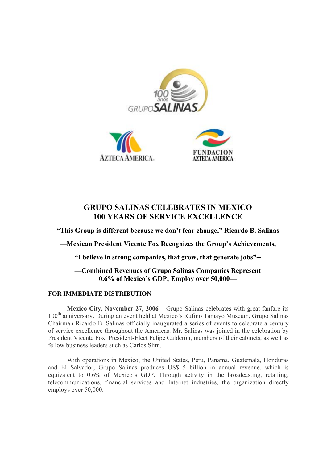





## **GRUPO SALINAS CELEBRATES IN MEXICO 100 YEARS OF SERVICE EXCELLENCE**

**--"This Group is different because we don't fear change," Ricardo B. Salinas--** 

**—Mexican President Vicente Fox Recognizes the Group's Achievements,** 

**"I believe in strong companies, that grow, that generate jobs"--** 

## **—Combined Revenues of Grupo Salinas Companies Represent 0.6% of Mexico's GDP; Employ over 50,000—**

## **FOR IMMEDIATE DISTRIBUTION**

**Mexico City, November 27, 2006** – Grupo Salinas celebrates with great fanfare its 100<sup>th</sup> anniversary. During an event held at Mexico's Rufino Tamayo Museum, Grupo Salinas Chairman Ricardo B. Salinas officially inaugurated a series of events to celebrate a century of service excellence throughout the Americas. Mr. Salinas was joined in the celebration by President Vicente Fox, President-Elect Felipe Calderón, members of their cabinets, as well as fellow business leaders such as Carlos Slim.

With operations in Mexico, the United States, Peru, Panama, Guatemala, Honduras and El Salvador, Grupo Salinas produces US\$ 5 billion in annual revenue, which is equivalent to 0.6% of Mexico's GDP. Through activity in the broadcasting, retailing, telecommunications, financial services and Internet industries, the organization directly employs over 50,000.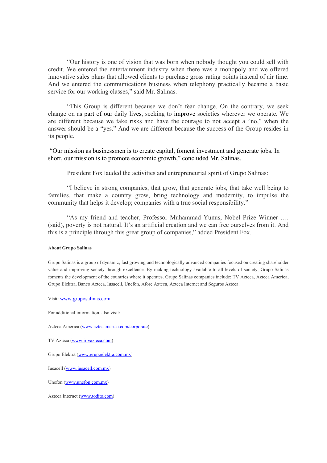"Our history is one of vision that was born when nobody thought you could sell with credit. We entered the entertainment industry when there was a monopoly and we offered innovative sales plans that allowed clients to purchase gross rating points instead of air time. And we entered the communications business when telephony practically became a basic service for our working classes," said Mr. Salinas.

"This Group is different because we don't fear change. On the contrary, we seek change on as part of our daily lives, seeking to improve societies wherever we operate. We are different because we take risks and have the courage to not accept a "no," when the answer should be a "yes." And we are different because the success of the Group resides in its people.

 "Our mission as businessmen is to create capital, foment investment and generate jobs. In short, our mission is to promote economic growth," concluded Mr. Salinas.

President Fox lauded the activities and entrepreneurial spirit of Grupo Salinas:

"I believe in strong companies, that grow, that generate jobs, that take well being to families, that make a country grow, bring technology and modernity, to impulse the community that helps it develop; companies with a true social responsibility."

"As my friend and teacher, Professor Muhammad Yunus, Nobel Prize Winner …. (said), poverty is not natural. It's an artificial creation and we can free ourselves from it. And this is a principle through this great group of companies," added President Fox.

## **About Grupo Salinas**

Grupo Salinas is a group of dynamic, fast growing and technologically advanced companies focused on creating shareholder value and improving society through excellence. By making technology available to all levels of society, Grupo Salinas foments the development of the countries where it operates. Grupo Salinas companies include: TV Azteca, Azteca America, Grupo Elektra, Banco Azteca, Iusacell, Unefon, Afore Azteca, Azteca Internet and Seguros Azteca.

Visit: www.gruposalinas.com .

For additional information, also visit:

Azteca America (www.aztecamerica.com/corporate)

TV Azteca (www.irtvazteca.com)

Grupo Elektra (www.grupoelektra.com.mx)

Iusacell (www.iusacell.com.mx)

Unefon (www.unefon.com.mx)

Azteca Internet (www.todito.com)